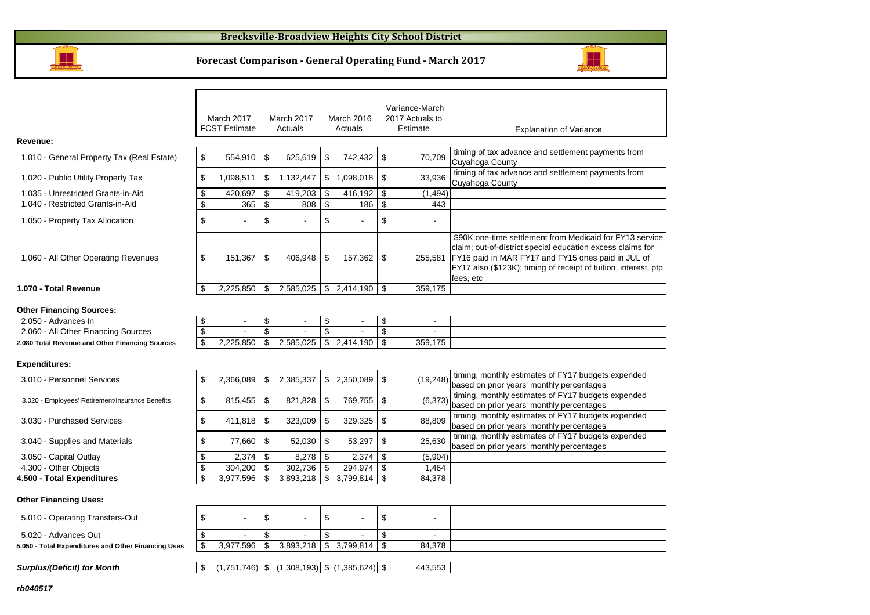### **Brecksville-Broadview Heights City School District**



#### **Forecast Comparison - General Operating Fund - March 2017**



3.030 - Purchased Services 411,818

3.040 - Supplies and Materials **1994 1985 1986 77,660** 

 3.050 - Capital Outlayy  $\frac{\$}{\$}$  2,374 \ \$ 8,278

4.300 - Other Objects 304,200

**4.500 - Total Expendituress**  $\frac{1}{3}$   $\frac{3,977,596}{5}$   $\frac{1}{3}$   $\frac{3,893,218}{5}$   $\frac{1}{3}$   $\frac{3,799,814}{5}$   $\frac{1}{3}$   $\frac{84,378}{5}$ 

#### **Other Financing Uses:**

| 5.010 - Operating Transfers-Out                     |           |  |               |        |  |
|-----------------------------------------------------|-----------|--|---------------|--------|--|
| 5.020 - Advances Out                                | -         |  |               | . .    |  |
| 5.050 - Total Expenditures and Other Financing Uses | 3,977,596 |  | $3.799.814$ S | 84,378 |  |

 $\begin{array}{|l|l|l|}\n\hline\n\$ & 323,009 & \$\end{array}$  329,325  $\begin{array}{|l|l|}\n\hline\n\$ & 88,809 & \text{turning, monthly estimates or F117 budgets}\n\end{array}$ 

 $\begin{array}{|c|c|c|c|c|c|}\n\hline \text{ $6$} & \text{ $53,297$} & \text{ $5$} & \text{ $25,630$} & \text{matrix} & \text{matrix} & \text{301} & \text{011} & \text{012} & \text{013} & \text{015} \\
\text{based on prior years'} & \text{monthly percentage} & \text{016} & \text{028} & \text{030} & \text{017} & \text{017} & \text{020} & \text{020} \\
\hline \end{array}$ 

timing, monthly estimates of FY17 budgets expended

**Surplus/(Deficit) for Month**

 $\boxed{\$}$  (1,751,746) \\ (1,308,193) \ (1,385,624) \ \ \ 443,553

2,374 \$ 8,278 \$ 2,374 \$ (5,904)

 $\frac{1}{3}$  304,200 \$ 302,736 \$ 294,974 \$ 1,464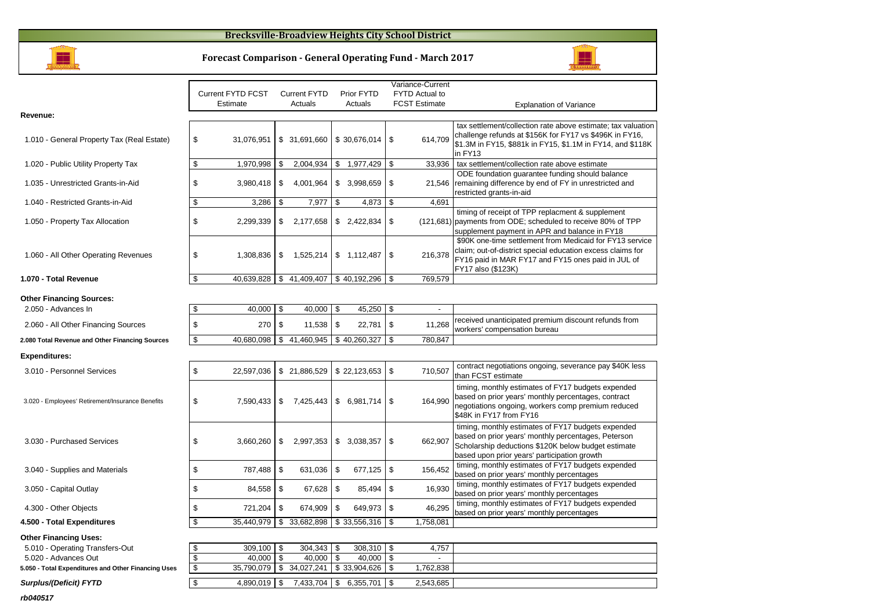### **Brecksville-Broadview Heights City School District**



**Forecast Comparison - General Operating Fund - March 2017**

| Variance-Current<br><b>Current FYTD FCST</b><br><b>Current FYTD</b><br>Prior FYTD<br><b>FYTD Actual to</b>                                                                                                                      |  |
|---------------------------------------------------------------------------------------------------------------------------------------------------------------------------------------------------------------------------------|--|
|                                                                                                                                                                                                                                 |  |
|                                                                                                                                                                                                                                 |  |
| <b>FCST Estimate</b><br>Estimate<br>Actuals<br>Actuals<br><b>Explanation of Variance</b>                                                                                                                                        |  |
| Revenue:                                                                                                                                                                                                                        |  |
| tax settlement/collection rate above estimate; tax valuation                                                                                                                                                                    |  |
| challenge refunds at \$156K for FY17 vs \$496K in FY16,<br>614,709<br>1.010 - General Property Tax (Real Estate)<br>\$<br>31,076,951<br>\$ 31,691,660<br>\$30,676,014<br>\$                                                     |  |
| \$1.3M in FY15, \$881k in FY15, \$1.1M in FY14, and \$118K                                                                                                                                                                      |  |
| in FY13                                                                                                                                                                                                                         |  |
| \$<br>2,004,934<br>33,936<br>tax settlement/collection rate above estimate<br>1.020 - Public Utility Property Tax<br>1,970,998<br>\$<br>\$<br>1,977,429<br>\$                                                                   |  |
| ODE foundation guarantee funding should balance                                                                                                                                                                                 |  |
| \$<br>\$<br>remaining difference by end of FY in unrestricted and<br>1.035 - Unrestricted Grants-in-Aid<br>3,980,418<br>\$<br>4,001,964<br>\$ 3,998,659<br>21,546                                                               |  |
| restricted grants-in-aid                                                                                                                                                                                                        |  |
| \$<br>\$<br>\$<br>\$<br>3,286<br>7,977<br>4,873<br>4,691<br>1.040 - Restricted Grants-in-Aid                                                                                                                                    |  |
| timing of receipt of TPP replacment & supplement                                                                                                                                                                                |  |
| \$<br>\$<br>\$2,422,834<br>(121,681) payments from ODE; scheduled to receive 80% of TPP<br>1.050 - Property Tax Allocation<br>2,299,339<br>\$<br>2,177,658                                                                      |  |
| supplement payment in APR and balance in FY18                                                                                                                                                                                   |  |
| \$90K one-time settlement from Medicaid for FY13 service                                                                                                                                                                        |  |
| claim; out-of-district special education excess claims for<br>\$<br>\$<br>1,525,214<br>\$<br>216,378<br>1.060 - All Other Operating Revenues<br>1,308,836<br>\$1,112,487                                                        |  |
| FY16 paid in MAR FY17 and FY15 ones paid in JUL of                                                                                                                                                                              |  |
| FY17 also (\$123K)                                                                                                                                                                                                              |  |
| \$41,409,407<br>\$40,192,296<br>\$<br>40,639,828<br>\$<br>769,579<br>1.070 - Total Revenue                                                                                                                                      |  |
|                                                                                                                                                                                                                                 |  |
| <b>Other Financing Sources:</b>                                                                                                                                                                                                 |  |
| \$<br>40,000<br>\$<br>40,000<br>45,250<br>\$<br>2.050 - Advances In<br>\$<br>$\blacksquare$                                                                                                                                     |  |
| received unanticipated premium discount refunds from<br>\$<br>$\mathfrak s$<br>\$<br>2.060 - All Other Financing Sources<br>270<br>11,538<br>\$<br>22,781<br>11,268                                                             |  |
| workers' compensation bureau                                                                                                                                                                                                    |  |
| $\sqrt[6]{2}$<br>40,680,098<br>\$41,460,945<br>\$40,260,327<br>\$<br>780.847<br>2.080 Total Revenue and Other Financing Sources                                                                                                 |  |
| <b>Expenditures:</b>                                                                                                                                                                                                            |  |
| contract negotiations ongoing, severance pay \$40K less                                                                                                                                                                         |  |
| $\mathfrak s$<br>\$<br>\$21,886,529<br>3.010 - Personnel Services<br>\$22,123,653<br>710,507<br>22,597,036<br>than FCST estimate                                                                                                |  |
|                                                                                                                                                                                                                                 |  |
| timing, monthly estimates of FY17 budgets expended                                                                                                                                                                              |  |
| based on prior years' monthly percentages, contract<br>\$<br>\$<br>\$7,425,443<br>164.990<br>3.020 - Employees' Retirement/Insurance Benefits<br>7,590,433<br>\$6,981,714<br>negotiations ongoing, workers comp premium reduced |  |
| \$48K in FY17 from FY16                                                                                                                                                                                                         |  |
|                                                                                                                                                                                                                                 |  |
| timing, monthly estimates of FY17 budgets expended                                                                                                                                                                              |  |
| based on prior years' monthly percentages, Peterson<br>\$<br>662,907<br>3.030 - Purchased Services<br>\$<br>3,660,260<br>\$<br>2,997,353<br>\$3,038,357                                                                         |  |
| Scholarship deductions \$120K below budget estimate<br>based upon prior years' participation growth                                                                                                                             |  |
| timing, monthly estimates of FY17 budgets expended                                                                                                                                                                              |  |
| $\,$<br>\$<br>\$<br>787,488<br>631,036<br>\$<br>677,125<br>156.452<br>3.040 - Supplies and Materials<br>based on prior years' monthly percentages                                                                               |  |
| timing, monthly estimates of FY17 budgets expended                                                                                                                                                                              |  |
| \$<br>\$<br>\$<br>\$<br>85,494<br>16,930<br>3.050 - Capital Outlay<br>84,558<br>67,628<br>based on prior years' monthly percentages                                                                                             |  |
| timing, monthly estimates of FY17 budgets expended                                                                                                                                                                              |  |
| $\sqrt[6]{\frac{1}{2}}$<br>$\mathfrak s$<br>\$<br>721,204<br>\$<br>649,973<br>4.300 - Other Objects<br>674,909<br>46,295<br>based on prior years' monthly percentages                                                           |  |
| \$33,556,316<br>4.500 - Total Expenditures<br>\$<br>35,440,979<br>\$<br>33,682,898<br>-\$<br>1,758,081                                                                                                                          |  |
|                                                                                                                                                                                                                                 |  |
| <b>Other Financing Uses:</b>                                                                                                                                                                                                    |  |
| 5.010 - Operating Transfers-Out<br>\$<br>309,100<br>$\boldsymbol{\mathsf{s}}$<br>304,343<br>$308,310$ \$<br>4,757<br>\$                                                                                                         |  |
| \$<br>\$<br>40,000<br>\$<br>40,000<br>40,000<br>\$<br>5.020 - Advances Out                                                                                                                                                      |  |
| \$<br>\$<br>34,027,241<br>35,790,079<br>\$33,904,626<br>\$<br>1,762,838<br>5.050 - Total Expenditures and Other Financing Uses                                                                                                  |  |
| $\sqrt[6]{2}$<br>4,890,019 \$<br>7,433,704<br>$\sqrt{3}$<br>$6,355,701$ \\$<br>2,543,685<br>Surplus/(Deficit) FYTD                                                                                                              |  |

**rb040517**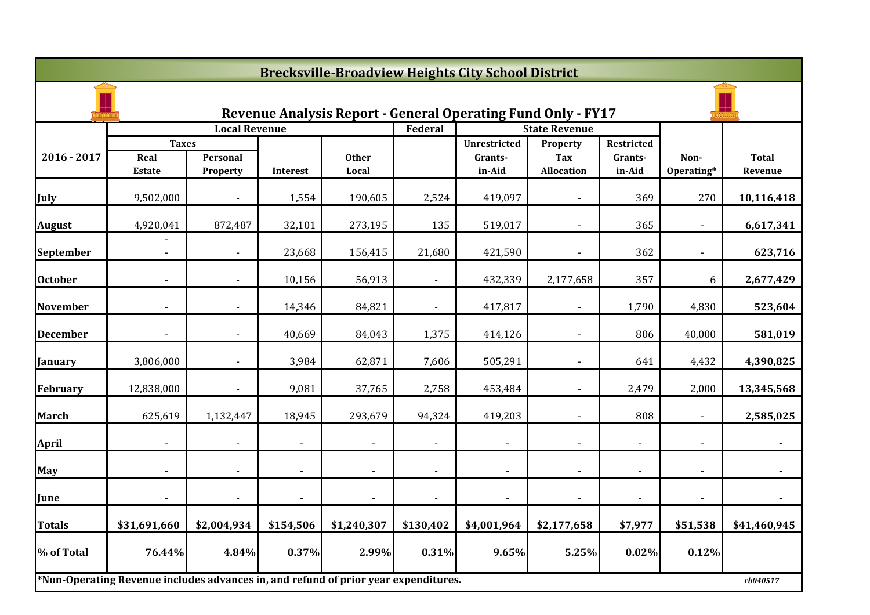|                 | <b>Brecksville-Broadview Heights City School District</b>                           |                          |           |                       |                |                                                              |                                 |                   |                          |                         |  |
|-----------------|-------------------------------------------------------------------------------------|--------------------------|-----------|-----------------------|----------------|--------------------------------------------------------------|---------------------------------|-------------------|--------------------------|-------------------------|--|
|                 |                                                                                     |                          |           |                       |                | Revenue Analysis Report - General Operating Fund Only - FY17 |                                 |                   |                          |                         |  |
|                 |                                                                                     | <b>Local Revenue</b>     |           |                       | Federal        |                                                              | <b>State Revenue</b>            |                   |                          |                         |  |
|                 | <b>Taxes</b>                                                                        |                          |           |                       |                | <b>Unrestricted</b>                                          | Property                        | Restricted        |                          |                         |  |
| $2016 - 2017$   | Real<br>Estate                                                                      | Personal<br>Property     | Interest  | <b>Other</b><br>Local |                | Grants-<br>in-Aid                                            | <b>Tax</b><br><b>Allocation</b> | Grants-<br>in-Aid | Non-<br>Operating*       | <b>Total</b><br>Revenue |  |
| July            | 9,502,000                                                                           |                          | 1,554     | 190,605               | 2,524          | 419,097                                                      |                                 | 369               | 270                      | 10,116,418              |  |
| <b>August</b>   | 4,920,041                                                                           | 872,487                  | 32,101    | 273,195               | 135            | 519,017                                                      |                                 | 365               |                          | 6,617,341               |  |
| September       | $\blacksquare$                                                                      | $\sim$                   | 23,668    | 156,415               | 21,680         | 421,590                                                      | $\blacksquare$                  | 362               | $\overline{\phantom{a}}$ | 623,716                 |  |
| <b>October</b>  |                                                                                     |                          | 10,156    | 56,913                |                | 432,339                                                      | 2,177,658                       | 357               | 6                        | 2,677,429               |  |
| <b>November</b> |                                                                                     |                          | 14,346    | 84,821                | $\blacksquare$ | 417,817                                                      |                                 | 1,790             | 4,830                    | 523,604                 |  |
| <b>December</b> |                                                                                     |                          | 40,669    | 84,043                | 1,375          | 414,126                                                      |                                 | 806               | 40,000                   | 581,019                 |  |
| January         | 3,806,000                                                                           |                          | 3,984     | 62,871                | 7,606          | 505,291                                                      |                                 | 641               | 4,432                    | 4,390,825               |  |
| <b>February</b> | 12,838,000                                                                          | $\overline{\phantom{a}}$ | 9,081     | 37,765                | 2,758          | 453,484                                                      | $\blacksquare$                  | 2,479             | 2,000                    | 13,345,568              |  |
| <b>March</b>    | 625,619                                                                             | 1,132,447                | 18,945    | 293,679               | 94,324         | 419,203                                                      |                                 | 808               |                          | 2,585,025               |  |
| <b>April</b>    |                                                                                     |                          |           |                       |                |                                                              |                                 |                   |                          |                         |  |
| <b>May</b>      |                                                                                     |                          |           |                       |                | $\blacksquare$                                               |                                 |                   |                          |                         |  |
| June            |                                                                                     |                          |           |                       | $\blacksquare$ | $\blacksquare$                                               |                                 |                   |                          |                         |  |
| <b>Totals</b>   | \$31,691,660                                                                        | \$2,004,934              | \$154,506 | \$1,240,307           | \$130,402      | \$4,001,964                                                  | \$2,177,658                     | \$7,977           | \$51,538                 | \$41,460,945            |  |
| % of Total      | 76.44%                                                                              | 4.84%                    | 0.37%     | 2.99%                 | 0.31%          | 9.65%                                                        | 5.25%                           | 0.02%             | 0.12%                    |                         |  |
|                 | *Non-Operating Revenue includes advances in, and refund of prior year expenditures. |                          |           |                       |                |                                                              |                                 |                   |                          | rb040517                |  |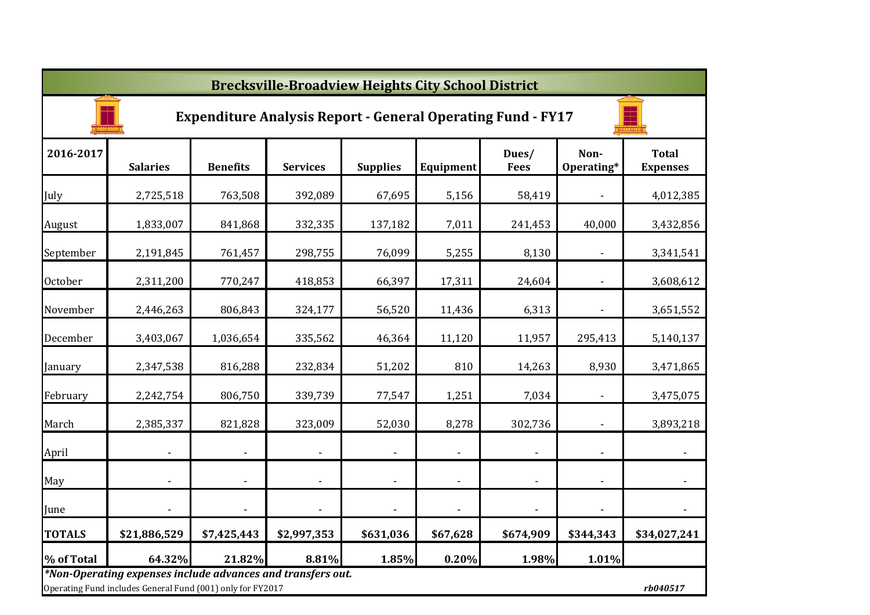|                | <b>Brecksville-Broadview Heights City School District</b>                                                                             |                          |                          |                 |                          |                          |                          |                                 |  |  |
|----------------|---------------------------------------------------------------------------------------------------------------------------------------|--------------------------|--------------------------|-----------------|--------------------------|--------------------------|--------------------------|---------------------------------|--|--|
|                | <b>Expenditure Analysis Report - General Operating Fund - FY17</b>                                                                    |                          |                          |                 |                          |                          |                          |                                 |  |  |
| 2016-2017      | <b>Salaries</b>                                                                                                                       | <b>Benefits</b>          | <b>Services</b>          | <b>Supplies</b> | Equipment                | Dues/<br><b>Fees</b>     | Non-<br>Operating*       | <b>Total</b><br><b>Expenses</b> |  |  |
| July           | 2,725,518                                                                                                                             | 763,508                  | 392,089                  | 67,695          | 5,156                    | 58,419                   |                          | 4,012,385                       |  |  |
| August         | 1,833,007                                                                                                                             | 841,868                  | 332,335                  | 137,182         | 7,011                    | 241,453                  | 40,000                   | 3,432,856                       |  |  |
| September      | 2,191,845                                                                                                                             | 761,457                  | 298,755                  | 76,099          | 5,255                    | 8,130                    |                          | 3,341,541                       |  |  |
| <b>October</b> | 2,311,200                                                                                                                             | 770,247                  | 418,853                  | 66,397          | 17,311                   | 24,604                   |                          | 3,608,612                       |  |  |
| November       | 2,446,263                                                                                                                             | 806,843                  | 324,177                  | 56,520          | 11,436                   | 6,313                    |                          | 3,651,552                       |  |  |
| December       | 3,403,067                                                                                                                             | 1,036,654                | 335,562                  | 46,364          | 11,120                   | 11,957                   | 295,413                  | 5,140,137                       |  |  |
| January        | 2,347,538                                                                                                                             | 816,288                  | 232,834                  | 51,202          | 810                      | 14,263                   | 8,930                    | 3,471,865                       |  |  |
| February       | 2,242,754                                                                                                                             | 806,750                  | 339,739                  | 77,547          | 1,251                    | 7,034                    | $\blacksquare$           | 3,475,075                       |  |  |
| March          | 2,385,337                                                                                                                             | 821,828                  | 323,009                  | 52,030          | 8,278                    | 302,736                  | $\overline{a}$           | 3,893,218                       |  |  |
| April          |                                                                                                                                       | $\overline{\phantom{a}}$ | $\blacksquare$           |                 | $\blacksquare$           | $\blacksquare$           | $\blacksquare$           | $\blacksquare$                  |  |  |
| May            |                                                                                                                                       | $\overline{\phantom{a}}$ | $\overline{\phantom{a}}$ |                 | $\overline{\phantom{a}}$ | $\overline{\phantom{a}}$ | $\overline{\phantom{a}}$ |                                 |  |  |
| June           |                                                                                                                                       |                          | $\overline{\phantom{a}}$ |                 |                          | $\overline{\phantom{a}}$ | $\blacksquare$           |                                 |  |  |
| <b>TOTALS</b>  | \$21,886,529                                                                                                                          | \$7,425,443              | \$2,997,353              | \$631,036       | \$67,628                 | \$674,909                | \$344,343                | \$34,027,241                    |  |  |
| % of Total     | 64.32%                                                                                                                                | 21.82%                   | 8.81%                    | 1.85%           | 0.20%                    | 1.98%                    | 1.01%                    |                                 |  |  |
|                | *Non-Operating expenses include advances and transfers out.<br>Operating Fund includes General Fund (001) only for FY2017<br>rb040517 |                          |                          |                 |                          |                          |                          |                                 |  |  |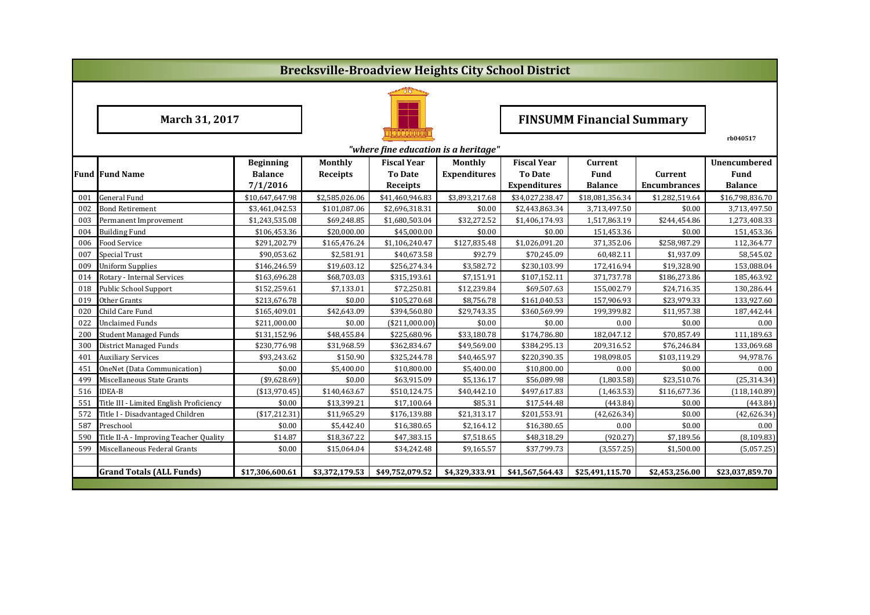|     | <b>Brecksville-Broadview Heights City School District</b> |                  |                 |                                      |                     |                                  |                 |                     |                 |  |
|-----|-----------------------------------------------------------|------------------|-----------------|--------------------------------------|---------------------|----------------------------------|-----------------|---------------------|-----------------|--|
|     |                                                           |                  |                 |                                      |                     |                                  |                 |                     |                 |  |
|     | March 31, 2017                                            |                  |                 |                                      |                     | <b>FINSUMM Financial Summary</b> |                 |                     |                 |  |
|     |                                                           |                  |                 | "where fine education is a heritage" |                     |                                  |                 |                     | rb040517        |  |
|     |                                                           | <b>Beginning</b> | <b>Monthly</b>  | <b>Fiscal Year</b>                   | Monthly             | <b>Fiscal Year</b>               | Current         |                     | Unencumbered    |  |
|     | <b>Fund Fund Name</b>                                     | <b>Balance</b>   | <b>Receipts</b> | <b>To Date</b>                       | <b>Expenditures</b> | <b>To Date</b>                   | <b>Fund</b>     | Current             | Fund            |  |
|     |                                                           | 7/1/2016         |                 | Receipts                             |                     | <b>Expenditures</b>              | <b>Balance</b>  | <b>Encumbrances</b> | <b>Balance</b>  |  |
| 001 | <b>General Fund</b>                                       | \$10,647,647.98  | \$2,585,026.06  | \$41,460,946.83                      | \$3,893,217.68      | \$34,027,238.47                  | \$18,081,356.34 | \$1,282,519.64      | \$16,798,836.70 |  |
| 002 | Bond Retirement                                           | \$3,461,042.53   | \$101,087.06    | \$2,696,318.31                       | \$0.00              | \$2,443,863.34                   | 3,713,497.50    | \$0.00              | 3,713,497.50    |  |
| 003 | Permanent Improvement                                     | \$1,243,535.08   | \$69,248.85     | \$1,680,503.04                       | \$32,272.52         | \$1,406,174.93                   | 1,517,863.19    | \$244,454.86        | 1,273,408.33    |  |
| 004 | <b>Building Fund</b>                                      | \$106,453.36     | \$20,000.00     | \$45,000.00                          | \$0.00              | \$0.00                           | 151,453.36      | \$0.00              | 151,453.36      |  |
| 006 | Food Service                                              | \$291,202.79     | \$165,476.24    | \$1,106,240.47                       | \$127,835.48        | \$1,026,091.20                   | 371,352.06      | \$258,987.29        | 112,364.77      |  |
| 007 | Special Trust                                             | \$90,053.62      | \$2,581.91      | \$40,673.58                          | \$92.79             | \$70,245.09                      | 60,482.11       | \$1,937.09          | 58,545.02       |  |
| 009 | <b>Uniform Supplies</b>                                   | \$146,246.59     | \$19,603.12     | \$256,274.34                         | \$3,582.72          | \$230,103.99                     | 172,416.94      | \$19,328.90         | 153,088.04      |  |
| 014 | Rotary - Internal Services                                | \$163,696.28     | \$68,703.03     | \$315,193.61                         | \$7,151.91          | \$107,152.11                     | 371,737.78      | \$186,273.86        | 185,463.92      |  |
| 018 | Public School Support                                     | \$152,259.61     | \$7,133.01      | \$72,250.81                          | \$12,239.84         | \$69,507.63                      | 155,002.79      | \$24,716.35         | 130,286.44      |  |
| 019 | Other Grants                                              | \$213,676.78     | \$0.00          | \$105,270.68                         | \$8,756.78          | \$161,040.53                     | 157,906.93      | \$23,979.33         | 133,927.60      |  |
| 020 | Child Care Fund                                           | \$165,409.01     | \$42,643.09     | \$394,560.80                         | \$29,743.35         | \$360,569.99                     | 199,399.82      | \$11,957.38         | 187,442.44      |  |
| 022 | <b>Unclaimed Funds</b>                                    | \$211,000.00     | \$0.00          | ( \$211,000.00]                      | \$0.00              | \$0.00                           | 0.00            | \$0.00              | 0.00            |  |
| 200 | <b>Student Managed Funds</b>                              | \$131,152.96     | \$48,455.84     | \$225,680.96                         | \$33,180.78         | \$174,786.80                     | 182,047.12      | \$70,857.49         | 111,189.63      |  |
| 300 | District Managed Funds                                    | \$230,776.98     | \$31,968.59     | \$362,834.67                         | \$49,569.00         | \$384,295.13                     | 209,316.52      | \$76,246.84         | 133,069.68      |  |
| 401 | <b>Auxiliary Services</b>                                 | \$93,243.62      | \$150.90        | \$325,244.78                         | \$40,465.97         | \$220,390.35                     | 198,098.05      | \$103,119.29        | 94,978.76       |  |
| 451 | OneNet (Data Communication)                               | \$0.00           | \$5,400.00      | \$10,800.00                          | \$5,400.00          | \$10,800.00                      | 0.00            | \$0.00              | 0.00            |  |
| 499 | Miscellaneous State Grants                                | $(*9,628.69)$    | \$0.00          | \$63,915.09                          | \$5,136.17          | \$56,089.98                      | (1,803.58)      | \$23,510.76         | (25, 314.34)    |  |
| 516 | <b>IDEA-B</b>                                             | ( \$13,970.45)   | \$140,463.67    | \$510,124.75                         | \$40,442.10         | \$497,617.83                     | (1,463.53)      | \$116,677.36        | (118, 140.89)   |  |
| 551 | Title III - Limited English Proficiency                   | \$0.00           | \$13,399.21     | \$17,100.64                          | \$85.31             | \$17,544.48                      | (443.84)        | \$0.00              | (443.84)        |  |
| 572 | Title I - Disadvantaged Children                          | (\$17,212.31)    | \$11,965.29     | \$176,139.88                         | \$21,313.17         | \$201,553.91                     | (42, 626.34)    | \$0.00              | (42,626.34)     |  |
| 587 | Preschool                                                 | \$0.00           | \$5,442.40      | \$16,380.65                          | \$2,164.12          | \$16,380.65                      | 0.00            | \$0.00              | 0.00            |  |
| 590 | Title II-A - Improving Teacher Quality                    | \$14.87          | \$18,367.22     | \$47,383.15                          | \$7,518.65          | \$48,318.29                      | (920.27)        | \$7,189.56          | (8, 109.83)     |  |
| 599 | Miscellaneous Federal Grants                              | \$0.00           | \$15,064.04     | \$34,242.48                          | \$9,165.57          | \$37,799.73                      | (3,557.25)      | \$1,500.00          | (5,057.25)      |  |
|     |                                                           |                  |                 |                                      |                     |                                  |                 |                     |                 |  |
|     | <b>Grand Totals (ALL Funds)</b>                           | \$17,306,600.61  | \$3,372,179.53  | \$49,752,079.52                      | \$4,329,333.91      | \$41,567,564.43                  | \$25,491,115.70 | \$2,453,256.00      | \$23,037,859.70 |  |
|     |                                                           |                  |                 |                                      |                     |                                  |                 |                     |                 |  |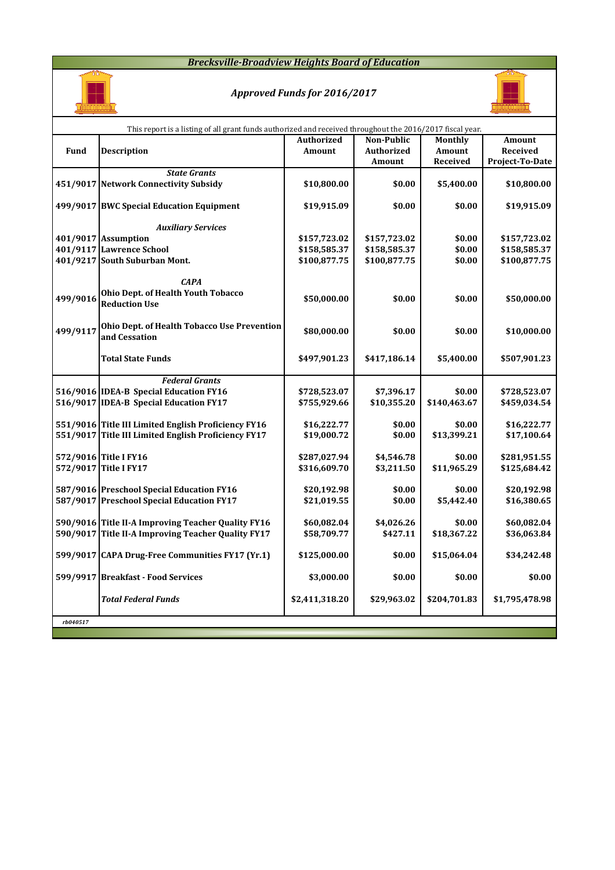### *Brecksville-Broadview Heights Board of Education*



# *Approved Funds for 2016/2017*



|          | This report is a listing of all grant funds authorized and received throughout the 2016/2017 fiscal year. |                   |                   |                |                 |
|----------|-----------------------------------------------------------------------------------------------------------|-------------------|-------------------|----------------|-----------------|
|          |                                                                                                           | <b>Authorized</b> | Non-Public        | <b>Monthly</b> | Amount          |
| Fund     | <b>Description</b>                                                                                        | <b>Amount</b>     | <b>Authorized</b> | Amount         | Received        |
|          |                                                                                                           |                   | Amount            | Received       | Project-To-Date |
|          | <b>State Grants</b>                                                                                       |                   |                   |                |                 |
|          | 451/9017 Network Connectivity Subsidy                                                                     | \$10,800.00       | \$0.00            | \$5,400.00     | \$10,800.00     |
|          |                                                                                                           |                   |                   |                |                 |
|          | 499/9017 BWC Special Education Equipment                                                                  | \$19,915.09       | \$0.00            | \$0.00         | \$19,915.09     |
|          |                                                                                                           |                   |                   |                |                 |
|          | <b>Auxiliary Services</b>                                                                                 |                   |                   |                |                 |
|          | 401/9017 Assumption                                                                                       | \$157,723.02      | \$157,723.02      | \$0.00         | \$157,723.02    |
|          | 401/9117 Lawrence School                                                                                  | \$158,585.37      | \$158,585.37      | \$0.00         | \$158,585.37    |
|          | 401/9217 South Suburban Mont.                                                                             | \$100,877.75      | \$100,877.75      | \$0.00         | \$100,877.75    |
|          |                                                                                                           |                   |                   |                |                 |
|          | <b>CAPA</b>                                                                                               |                   |                   |                |                 |
| 499/9016 | Ohio Dept. of Health Youth Tobacco<br><b>Reduction Use</b>                                                | \$50,000.00       | \$0.00            | \$0.00         | \$50,000.00     |
|          |                                                                                                           |                   |                   |                |                 |
|          | Ohio Dept. of Health Tobacco Use Prevention                                                               |                   |                   |                |                 |
| 499/9117 | and Cessation                                                                                             | \$80,000.00       | \$0.00            | \$0.00         | \$10,000.00     |
|          |                                                                                                           |                   |                   |                |                 |
|          | <b>Total State Funds</b>                                                                                  | \$497,901.23      | \$417,186.14      | \$5,400.00     | \$507,901.23    |
|          |                                                                                                           |                   |                   |                |                 |
|          | <b>Federal Grants</b>                                                                                     |                   |                   |                |                 |
|          | 516/9016 IDEA-B Special Education FY16                                                                    | \$728,523.07      | \$7,396.17        | \$0.00         | \$728,523.07    |
|          | 516/9017 IDEA-B Special Education FY17                                                                    | \$755,929.66      | \$10,355.20       | \$140,463.67   | \$459,034.54    |
|          |                                                                                                           |                   |                   |                |                 |
|          | 551/9016 Title III Limited English Proficiency FY16                                                       | \$16,222.77       | \$0.00            | \$0.00         | \$16,222.77     |
|          | 551/9017 Title III Limited English Proficiency FY17                                                       | \$19,000.72       | \$0.00            | \$13,399.21    | \$17,100.64     |
|          |                                                                                                           |                   |                   |                |                 |
|          | 572/9016 Title I FY16                                                                                     | \$287,027.94      | \$4,546.78        | \$0.00         | \$281,951.55    |
|          | 572/9017 Title I FY17                                                                                     | \$316,609.70      | \$3,211.50        | \$11,965.29    | \$125,684.42    |
|          |                                                                                                           |                   |                   |                |                 |
|          | 587/9016 Preschool Special Education FY16                                                                 | \$20,192.98       | \$0.00            | \$0.00         | \$20,192.98     |
|          | 587/9017 Preschool Special Education FY17                                                                 | \$21,019.55       | \$0.00            | \$5,442.40     | \$16,380.65     |
|          |                                                                                                           |                   |                   |                |                 |
|          | 590/9016 Title II-A Improving Teacher Quality FY16                                                        | \$60,082.04       | \$4,026.26        | \$0.00         | \$60,082.04     |
|          | 590/9017 Title II-A Improving Teacher Quality FY17                                                        | \$58,709.77       | \$427.11          | \$18,367.22    | \$36,063.84     |
|          |                                                                                                           |                   |                   |                |                 |
|          | 599/9017 CAPA Drug-Free Communities FY17 (Yr.1)                                                           | \$125,000.00      | \$0.00            | \$15,064.04    | \$34,242.48     |
|          | 599/9917 Breakfast - Food Services                                                                        | \$3,000.00        | \$0.00            | \$0.00         | \$0.00          |
|          |                                                                                                           |                   |                   |                |                 |
|          | <b>Total Federal Funds</b>                                                                                | \$2,411,318.20    | \$29,963.02       | \$204,701.83   | \$1,795,478.98  |
|          |                                                                                                           |                   |                   |                |                 |
| rb040517 |                                                                                                           |                   |                   |                |                 |
|          |                                                                                                           |                   |                   |                |                 |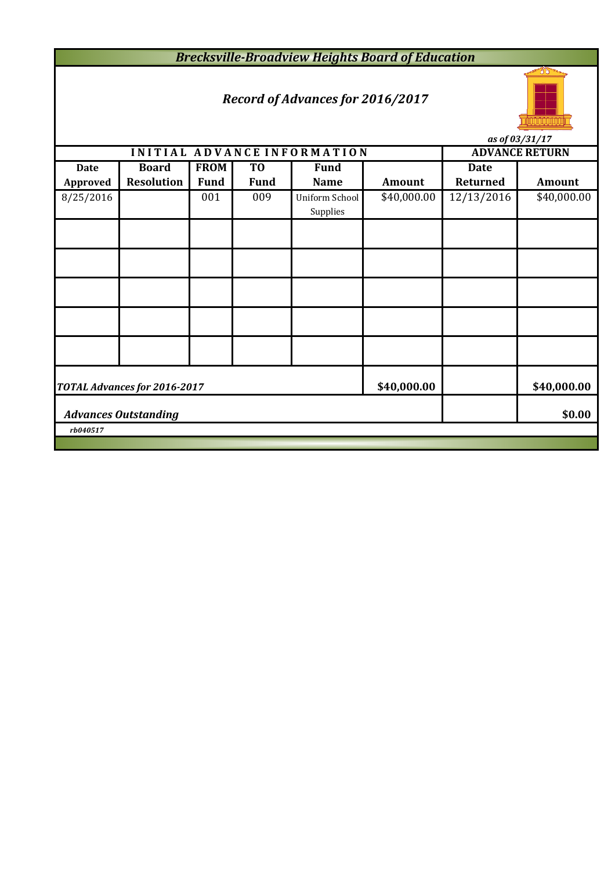*Brecksville-Broadview Heights Board of Education*

# *Record of Advances for 2016/2017*



*as of 03/31/17*

|                                       |                                                            |             |                | INITIAL ADVANCE INFORMATION |             |             | <b>ADVANCE RETURN</b> |  |  |
|---------------------------------------|------------------------------------------------------------|-------------|----------------|-----------------------------|-------------|-------------|-----------------------|--|--|
| <b>Date</b>                           | <b>Board</b>                                               | <b>FROM</b> | T <sub>0</sub> | <b>Fund</b>                 |             | <b>Date</b> |                       |  |  |
| <b>Approved</b>                       | <b>Resolution</b>                                          | <b>Fund</b> | <b>Fund</b>    | <b>Name</b>                 | Amount      | Returned    | <b>Amount</b>         |  |  |
| 8/25/2016                             |                                                            | 001         | 009            | Uniform School              | \$40,000.00 | 12/13/2016  | \$40,000.00           |  |  |
|                                       |                                                            |             |                | Supplies                    |             |             |                       |  |  |
|                                       |                                                            |             |                |                             |             |             |                       |  |  |
|                                       |                                                            |             |                |                             |             |             |                       |  |  |
|                                       |                                                            |             |                |                             |             |             |                       |  |  |
|                                       |                                                            |             |                |                             |             |             |                       |  |  |
|                                       |                                                            |             |                |                             |             |             |                       |  |  |
|                                       | \$40,000.00<br>TOTAL Advances for 2016-2017<br>\$40,000.00 |             |                |                             |             |             |                       |  |  |
| \$0.00<br><b>Advances Outstanding</b> |                                                            |             |                |                             |             |             |                       |  |  |
| rb040517                              |                                                            |             |                |                             |             |             |                       |  |  |
|                                       |                                                            |             |                |                             |             |             |                       |  |  |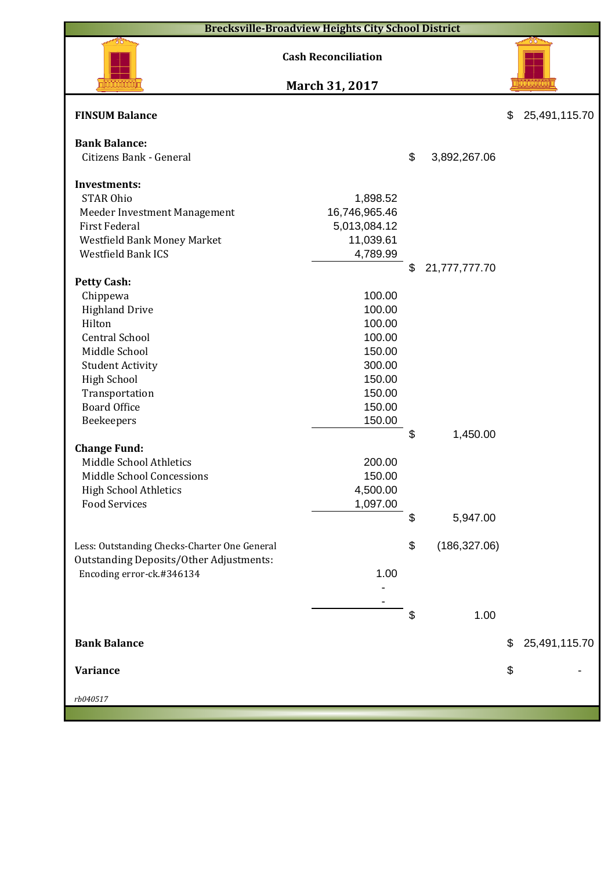|                                                | <b>Brecksville-Broadview Heights City School District</b> |                     |                     |
|------------------------------------------------|-----------------------------------------------------------|---------------------|---------------------|
|                                                | <b>Cash Reconciliation</b>                                |                     | 78                  |
|                                                | March 31, 2017                                            |                     |                     |
| <b>FINSUM Balance</b>                          |                                                           |                     | \$<br>25,491,115.70 |
| <b>Bank Balance:</b>                           |                                                           |                     |                     |
| Citizens Bank - General                        |                                                           | \$<br>3,892,267.06  |                     |
|                                                |                                                           |                     |                     |
| <b>Investments:</b><br><b>STAR Ohio</b>        | 1,898.52                                                  |                     |                     |
| Meeder Investment Management                   | 16,746,965.46                                             |                     |                     |
| <b>First Federal</b>                           | 5,013,084.12                                              |                     |                     |
| Westfield Bank Money Market                    | 11,039.61                                                 |                     |                     |
| Westfield Bank ICS                             | 4,789.99                                                  |                     |                     |
|                                                |                                                           | \$<br>21,777,777.70 |                     |
| <b>Petty Cash:</b>                             |                                                           |                     |                     |
| Chippewa                                       | 100.00                                                    |                     |                     |
| <b>Highland Drive</b>                          | 100.00                                                    |                     |                     |
| Hilton                                         | 100.00                                                    |                     |                     |
| <b>Central School</b>                          | 100.00                                                    |                     |                     |
| Middle School                                  | 150.00                                                    |                     |                     |
| <b>Student Activity</b>                        | 300.00                                                    |                     |                     |
| <b>High School</b>                             | 150.00                                                    |                     |                     |
| Transportation                                 | 150.00                                                    |                     |                     |
| <b>Board Office</b>                            | 150.00                                                    |                     |                     |
| Beekeepers                                     | 150.00                                                    |                     |                     |
|                                                |                                                           | \$<br>1,450.00      |                     |
| <b>Change Fund:</b>                            |                                                           |                     |                     |
| Middle School Athletics                        | 200.00                                                    |                     |                     |
| Middle School Concessions                      | 150.00                                                    |                     |                     |
| <b>High School Athletics</b>                   | 4,500.00                                                  |                     |                     |
| <b>Food Services</b>                           | 1,097.00                                                  |                     |                     |
|                                                |                                                           | \$<br>5,947.00      |                     |
|                                                |                                                           |                     |                     |
| Less: Outstanding Checks-Charter One General   |                                                           | \$<br>(186, 327.06) |                     |
| <b>Outstanding Deposits/Other Adjustments:</b> |                                                           |                     |                     |
| Encoding error-ck.#346134                      | 1.00                                                      |                     |                     |
|                                                |                                                           |                     |                     |
|                                                |                                                           | \$<br>1.00          |                     |
|                                                |                                                           |                     |                     |
| <b>Bank Balance</b>                            |                                                           |                     | \$<br>25,491,115.70 |
| <b>Variance</b>                                |                                                           |                     | \$                  |
| rb040517                                       |                                                           |                     |                     |
|                                                |                                                           |                     |                     |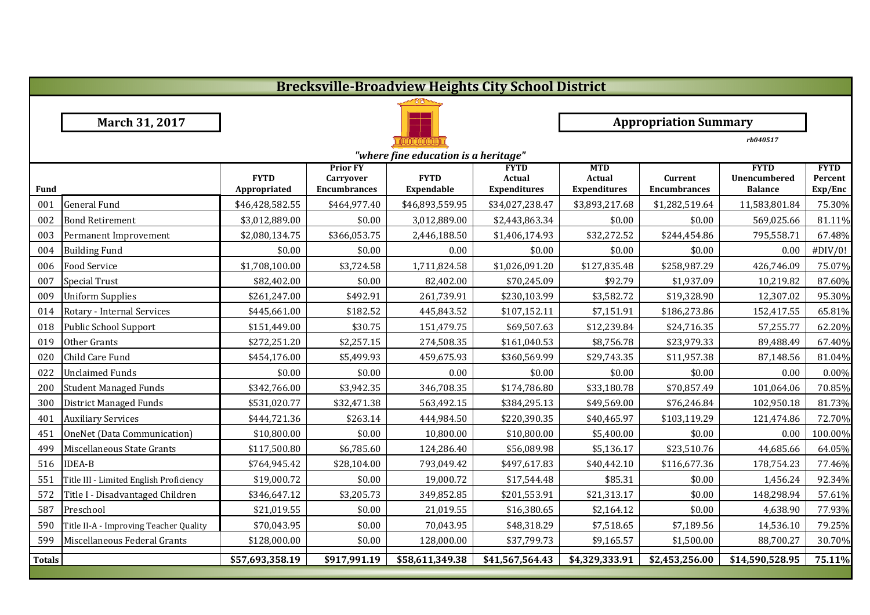|               | <b>Brecksville-Broadview Heights City School District</b> |                             |                                                            |                                  |                                              |                                             |                                |                                               |                                   |  |  |
|---------------|-----------------------------------------------------------|-----------------------------|------------------------------------------------------------|----------------------------------|----------------------------------------------|---------------------------------------------|--------------------------------|-----------------------------------------------|-----------------------------------|--|--|
|               |                                                           |                             |                                                            |                                  |                                              |                                             |                                |                                               |                                   |  |  |
|               | March 31, 2017                                            |                             |                                                            |                                  |                                              |                                             | <b>Appropriation Summary</b>   |                                               |                                   |  |  |
|               |                                                           |                             |                                                            |                                  |                                              |                                             |                                | rb040517                                      |                                   |  |  |
|               | "where fine education is a heritage"                      |                             |                                                            |                                  |                                              |                                             |                                |                                               |                                   |  |  |
| Fund          |                                                           | <b>FYTD</b><br>Appropriated | <b>Prior FY</b><br><b>Carryover</b><br><b>Encumbrances</b> | <b>FYTD</b><br><b>Expendable</b> | <b>FYTD</b><br>Actual<br><b>Expenditures</b> | <b>MTD</b><br>Actual<br><b>Expenditures</b> | Current<br><b>Encumbrances</b> | <b>FYTD</b><br>Unencumbered<br><b>Balance</b> | <b>FYTD</b><br>Percent<br>Exp/Enc |  |  |
| 001           | <b>General Fund</b>                                       | \$46,428,582.55             | \$464,977.40                                               | \$46,893,559.95                  | \$34,027,238.47                              | \$3,893,217.68                              | \$1,282,519.64                 | 11,583,801.84                                 | 75.30%                            |  |  |
| 002           | <b>Bond Retirement</b>                                    | \$3,012,889.00              | \$0.00                                                     | 3,012,889.00                     | \$2,443,863.34                               | \$0.00                                      | \$0.00                         | 569,025.66                                    | 81.11%                            |  |  |
| 003           | Permanent Improvement                                     | \$2,080,134.75              | \$366,053.75                                               | 2,446,188.50                     | \$1,406,174.93                               | \$32,272.52                                 | \$244,454.86                   | 795,558.71                                    | 67.48%                            |  |  |
| 004           | <b>Building Fund</b>                                      | \$0.00                      | \$0.00                                                     | 0.00                             | \$0.00                                       | \$0.00                                      | \$0.00                         | 0.00                                          | #DIV/0!                           |  |  |
| 006           | <b>Food Service</b>                                       | \$1,708,100.00              | \$3,724.58                                                 | 1,711,824.58                     | \$1,026,091.20                               | \$127,835.48                                | \$258,987.29                   | 426,746.09                                    | 75.07%                            |  |  |
| 007           | <b>Special Trust</b>                                      | \$82,402.00                 | \$0.00                                                     | 82,402.00                        | \$70,245.09                                  | \$92.79                                     | \$1,937.09                     | 10,219.82                                     | 87.60%                            |  |  |
| 009           | <b>Uniform Supplies</b>                                   | \$261,247.00                | \$492.91                                                   | 261,739.91                       | \$230,103.99                                 | \$3,582.72                                  | \$19,328.90                    | 12,307.02                                     | 95.30%                            |  |  |
| 014           | Rotary - Internal Services                                | \$445,661.00                | \$182.52                                                   | 445,843.52                       | \$107,152.11                                 | \$7,151.91                                  | \$186,273.86                   | 152,417.55                                    | 65.81%                            |  |  |
| 018           | Public School Support                                     | \$151,449.00                | \$30.75                                                    | 151,479.75                       | \$69,507.63                                  | \$12,239.84                                 | \$24,716.35                    | 57,255.77                                     | 62.20%                            |  |  |
| 019           | Other Grants                                              | \$272,251.20                | \$2,257.15                                                 | 274,508.35                       | \$161,040.53                                 | \$8,756.78                                  | \$23,979.33                    | 89,488.49                                     | 67.40%                            |  |  |
| 020           | Child Care Fund                                           | \$454,176.00                | \$5,499.93                                                 | 459,675.93                       | \$360,569.99                                 | \$29,743.35                                 | \$11,957.38                    | 87,148.56                                     | 81.04%                            |  |  |
| 022           | <b>Unclaimed Funds</b>                                    | \$0.00                      | \$0.00                                                     | 0.00                             | \$0.00                                       | \$0.00                                      | \$0.00                         | 0.00                                          | 0.00%                             |  |  |
| 200           | <b>Student Managed Funds</b>                              | \$342,766.00                | \$3,942.35                                                 | 346,708.35                       | \$174,786.80                                 | \$33,180.78                                 | \$70,857.49                    | 101,064.06                                    | 70.85%                            |  |  |
| 300           | <b>District Managed Funds</b>                             | \$531,020.77                | \$32,471.38                                                | 563,492.15                       | \$384,295.13                                 | \$49,569.00                                 | \$76,246.84                    | 102,950.18                                    | 81.73%                            |  |  |
| 401           | <b>Auxiliary Services</b>                                 | \$444,721.36                | \$263.14                                                   | 444,984.50                       | \$220,390.35                                 | \$40,465.97                                 | \$103,119.29                   | 121,474.86                                    | 72.70%                            |  |  |
| 451           | OneNet (Data Communication)                               | \$10,800.00                 | \$0.00                                                     | 10,800.00                        | \$10,800.00                                  | \$5,400.00                                  | \$0.00                         | 0.00                                          | 100.00%                           |  |  |
| 499           | Miscellaneous State Grants                                | \$117,500.80                | \$6,785.60                                                 | 124,286.40                       | \$56,089.98                                  | \$5,136.17                                  | \$23,510.76                    | 44,685.66                                     | 64.05%                            |  |  |
| 516           | <b>IDEA-B</b>                                             | \$764,945.42                | \$28,104.00                                                | 793,049.42                       | \$497,617.83                                 | \$40,442.10                                 | \$116,677.36                   | 178,754.23                                    | 77.46%                            |  |  |
| 551           | Title III - Limited English Proficiency                   | \$19,000.72                 | \$0.00                                                     | 19,000.72                        | \$17,544.48                                  | \$85.31                                     | \$0.00                         | 1,456.24                                      | 92.34%                            |  |  |
| 572           | Title I - Disadvantaged Children                          | \$346,647.12                | \$3,205.73                                                 | 349,852.85                       | \$201,553.91                                 | \$21,313.17                                 | \$0.00                         | 148,298.94                                    | 57.61%                            |  |  |
| 587           | Preschool                                                 | \$21,019.55                 | \$0.00                                                     | 21,019.55                        | \$16,380.65                                  | \$2,164.12                                  | \$0.00                         | 4,638.90                                      | 77.93%                            |  |  |
| 590           | Title II-A - Improving Teacher Quality                    | \$70,043.95                 | \$0.00                                                     | 70,043.95                        | \$48,318.29                                  | \$7,518.65                                  | \$7,189.56                     | 14,536.10                                     | 79.25%                            |  |  |
| 599           | Miscellaneous Federal Grants                              | \$128,000.00                | \$0.00                                                     | 128,000.00                       | \$37,799.73                                  | \$9,165.57                                  | \$1,500.00                     | 88,700.27                                     | 30.70%                            |  |  |
| <b>Totals</b> |                                                           | \$57,693,358.19             | \$917,991.19                                               | \$58,611,349.38                  | \$41,567,564.43                              | \$4,329,333.91                              | \$2,453,256.00                 | \$14,590,528.95                               | 75.11%                            |  |  |